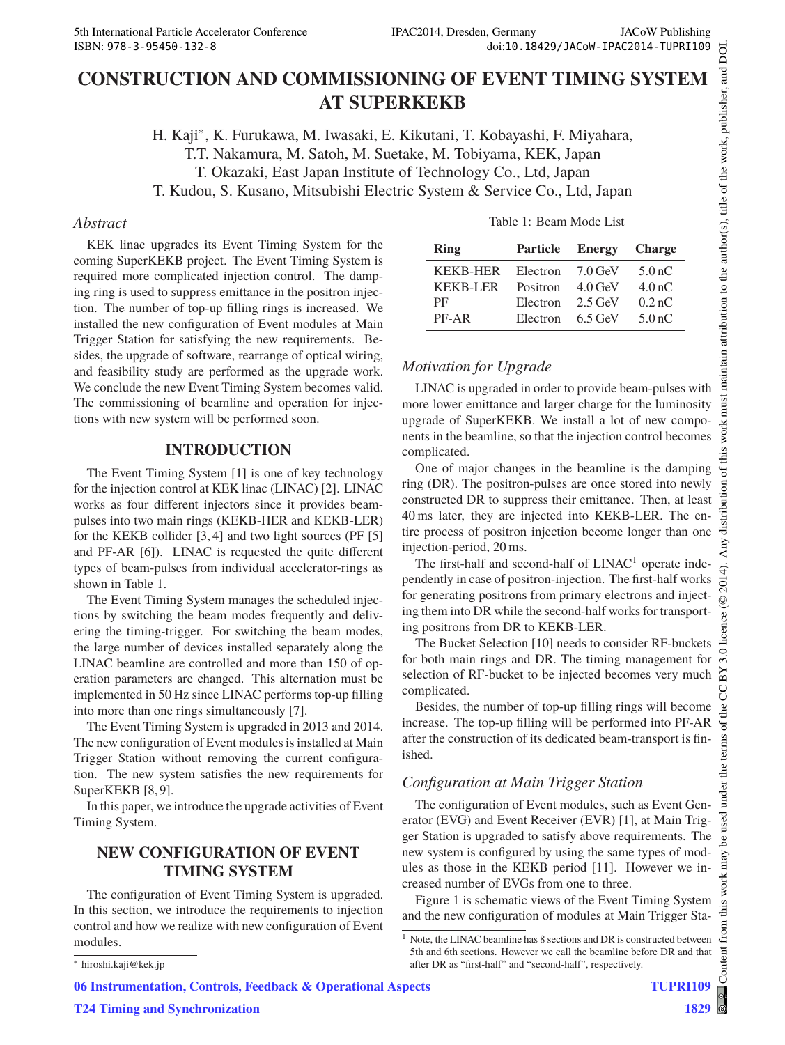## **CONSTRUCTION AND COMMISSIONING OF EVENT TIMING SYSTEM AT SUPERKEKB**

H. Kaji∗, K. Furukawa, M. Iwasaki, E. Kikutani, T. Kobayashi, F. Miyahara, T.T. Nakamura, M. Satoh, M. Suetake, M. Tobiyama, KEK, Japan T. Okazaki, East Japan Institute of Technology Co., Ltd, Japan T. Kudou, S. Kusano, Mitsubishi Electric System & Service Co., Ltd, Japan

#### *Abstract*

KEK linac upgrades its Event Timing System for the coming SuperKEKB project. The Event Timing System is required more complicated injection control. The damping ring is used to suppress emittance in the positron injection. The number of top-up filling rings is increased. We installed the new configuration of Event modules at Main Trigger Station for satisfying the new requirements. Besides, the upgrade of software, rearrange of optical wiring, and feasibility study are performed as the upgrade work. We conclude the new Event Timing System becomes valid. The commissioning of beamline and operation for injections with new system will be performed soon.

### **INTRODUCTION**

The Event Timing System [1] is one of key technology for the injection control at KEK linac (LINAC) [2]. LINAC works as four different injectors since it provides beampulses into two main rings (KEKB-HER and KEKB-LER) for the KEKB collider [3, 4] and two light sources (PF [5] and PF-AR [6]). LINAC is requested the quite different types of beam-pulses from individual accelerator-rings as shown in Table 1.

The Event Timing System manages the scheduled injections by switching the beam modes frequently and delivering the timing-trigger. For switching the beam modes, the large number of devices installed separately along the LINAC beamline are controlled and more than 150 of operation parameters are changed. This alternation must be implemented in 50 Hz since LINAC performs top-up filling into more than one rings simultaneously [7].

The Event Timing System is upgraded in 2013 and 2014. The new configuration of Event modules is installed at Main Trigger Station without removing the current configuration. The new system satisfies the new requirements for SuperKEKB [8,9].

In this paper, we introduce the upgrade activities of Event Timing System.

# **NEW CONFIGURATION OF EVENT**

The configuration of Event Timing System is upgraded. In this section, we introduce the requirements to injection control and how we realize with new configuration of Event modules.

| Ring            | <b>Particle</b> | <b>Energy</b> | <b>Charge</b>      |
|-----------------|-----------------|---------------|--------------------|
| <b>KEKB-HER</b> | Electron        | $7.0$ GeV     | 5.0 <sub>nC</sub>  |
| <b>KEKB-LER</b> | Positron        | $4.0$ GeV     | 4.0 <sub>n</sub> C |
| PF              | Electron        | $2.5$ GeV     | 0.2 <sub>n</sub> C |
| PF-AR           | Electron        | $6.5$ GeV     | 5.0 <sub>nC</sub>  |

### *Motivation for Upgrade*

LINAC is upgraded in order to provide beam-pulses with more lower emittance and larger charge for the luminosity upgrade of SuperKEKB. We install a lot of new components in the beamline, so that the injection control becomes complicated.

One of major changes in the beamline is the damping ring (DR). The positron-pulses are once stored into newly constructed DR to suppress their emittance. Then, at least 40 ms later, they are injected into KEKB-LER. The entire process of positron injection become longer than one injection-period, 20 ms.

The first-half and second-half of  $LINAC<sup>1</sup>$  operate independently in case of positron-injection. The first-half works for generating positrons from primary electrons and injecting them into DR while the second-half works for transporting positrons from DR to KEKB-LER.

The Bucket Selection [10] needs to consider RF-buckets for both main rings and DR. The timing management for selection of RF-bucket to be injected becomes very much complicated.

Besides, the number of top-up filling rings will become increase. The top-up filling will be performed into PF-AR after the construction of its dedicated beam-transport is finished.

### *Configuration at Main Trigger Station*

The configuration of Event modules, such as Event Generator (EVG) and Event Receiver (EVR) [1], at Main Trigger Station is upgraded to satisfy above requirements. The new system is configured by using the same types of modules as those in the KEKB period [11]. However we increased number of EVGs from one to three.

Figure 1 is schematic views of the Event Timing System and the new configuration of modules at Main Trigger Sta-

**T24 Timing and Synchronization**

 $^{\rm 1}$  Note, the LINAC beamline has 8 sections and DR is constructed between 5th and 6th sections. However we call the beamline before DR and that after DR as "first-half" and "second-half", respectively.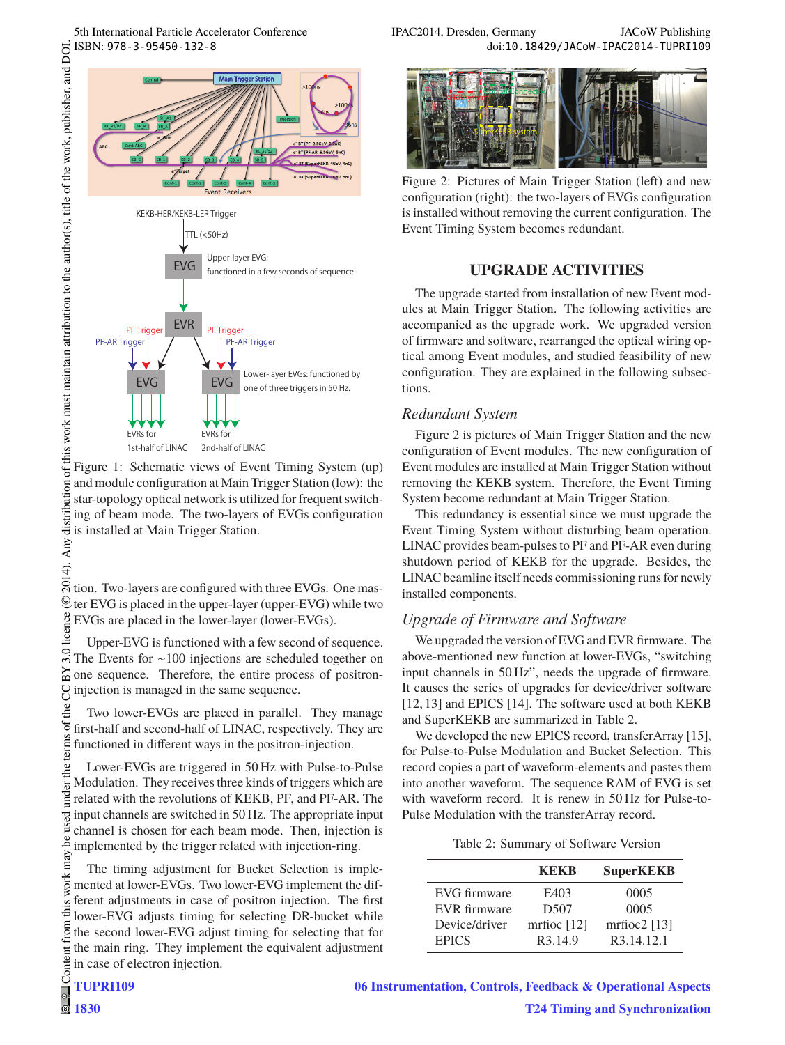

of this work must maintain attribution to the author(s), title of the work, publisher, and DOI. © 2014). Any distribution of this work must maintain attribution to the author(s), title of the work, publisher, and DOI.<br>  $\vec{r}$  =  $\vec{r}$  =  $\vec{r}$  ×  $\vec{r}$  =  $\vec{r}$ Figure 1: Schematic views of Event Timing System (up) and module configuration at Main Trigger Station (low): the star-topology optical network is utilized for frequent switching of beam mode. The two-layers of EVGs configuration is installed at Main Trigger Station. Any

 $\overline{S}$  tion. Two-layers are configured with three EVGs. One mas- $\mathcal Q$  ter EVG is placed in the upper-layer (upper-EVG) while two EVGs are placed in the lower-layer (lower-EVGs).

Upper-EVG is functioned with a few second of sequence. The Events for ∼100 injections are scheduled together on  $\approx$  one sequence. Therefore, the entire process of positroninjection is managed in the same sequence.

the Two lower-EVGs are placed in parallel. They manage erms of first-half and second-half of LINAC, respectively. They are functioned in different ways in the positron-injection.

Content from this work may be used under the terms of the CC BY 3.0 licence ( $\epsilon$ der the t Lower-EVGs are triggered in 50 Hz with Pulse-to-Pulse Modulation. They receives three kinds of triggers which are related with the revolutions of KEKB, PF, and PF-AR. The input channels are switched in 50 Hz. The appropriate input channel is chosen for each beam mode. Then, injection is ತೆ implemented by the trigger related with injection-ring.

work may The timing adjustment for Bucket Selection is implemented at lower-EVGs. Two lower-EVG implement the different adjustments in case of positron injection. The first this lower-EVG adjusts timing for selecting DR-bucket while from the second lower-EVG adjust timing for selecting that for the main ring. They implement the equivalent adjustment Content in case of electron injection.

 $\overline{4}$ .

5th International Particle Accelerator Conference IPAC2014, Dresden, Germany JACoW Publishing<br>ISBN: 978-3-95450-132-8<br>IPAC2014, Dresden, Germany doi:10.18429/JACoW-IPAC2014-TUPRI109 doi:10.18429/JACoW-IPAC2014-TUPRI109



Figure 2: Pictures of Main Trigger Station (left) and new configuration (right): the two-layers of EVGs configuration is installed without removing the current configuration. The Event Timing System becomes redundant.

The upgrade started from installation of new Event modules at Main Trigger Station. The following activities are accompanied as the upgrade work. We upgraded version of firmware and software, rearranged the optical wiring optical among Event modules, and studied feasibility of new configuration. They are explained in the following subsections.

#### *Redundant System*

Figure 2 is pictures of Main Trigger Station and the new configuration of Event modules. The new configuration of Event modules are installed at Main Trigger Station without removing the KEKB system. Therefore, the Event Timing System become redundant at Main Trigger Station.

This redundancy is essential since we must upgrade the Event Timing System without disturbing beam operation. LINAC provides beam-pulses to PF and PF-AR even during shutdown period of KEKB for the upgrade. Besides, the LINAC beamline itself needs commissioning runs for newly installed components.

#### *Upgrade of Firmware and Software*

We upgraded the version of EVG and EVR firmware. The above-mentioned new function at lower-EVGs, "switching input channels in 50 Hz", needs the upgrade of firmware. It causes the series of upgrades for device/driver software [12, 13] and EPICS [14]. The software used at both KEKB and SuperKEKB are summarized in Table 2.

We developed the new EPICS record, transferArray [15], for Pulse-to-Pulse Modulation and Bucket Selection. This record copies a part of waveform-elements and pastes them into another waveform. The sequence RAM of EVG is set with waveform record. It is renew in 50 Hz for Pulse-to-Pulse Modulation with the transferArray record.

Table 2: Summary of Software Version

|               | KEKB             | <b>SuperKEKB</b> |
|---------------|------------------|------------------|
| EVG firmware  | E403             | 0005             |
| EVR firmware  | D <sub>507</sub> | 0005             |
| Device/driver | mrfioc $[12]$    | mrfioc $2$ [13]  |
| <b>EPICS</b>  | R3.14.9          | R3.14.12.1       |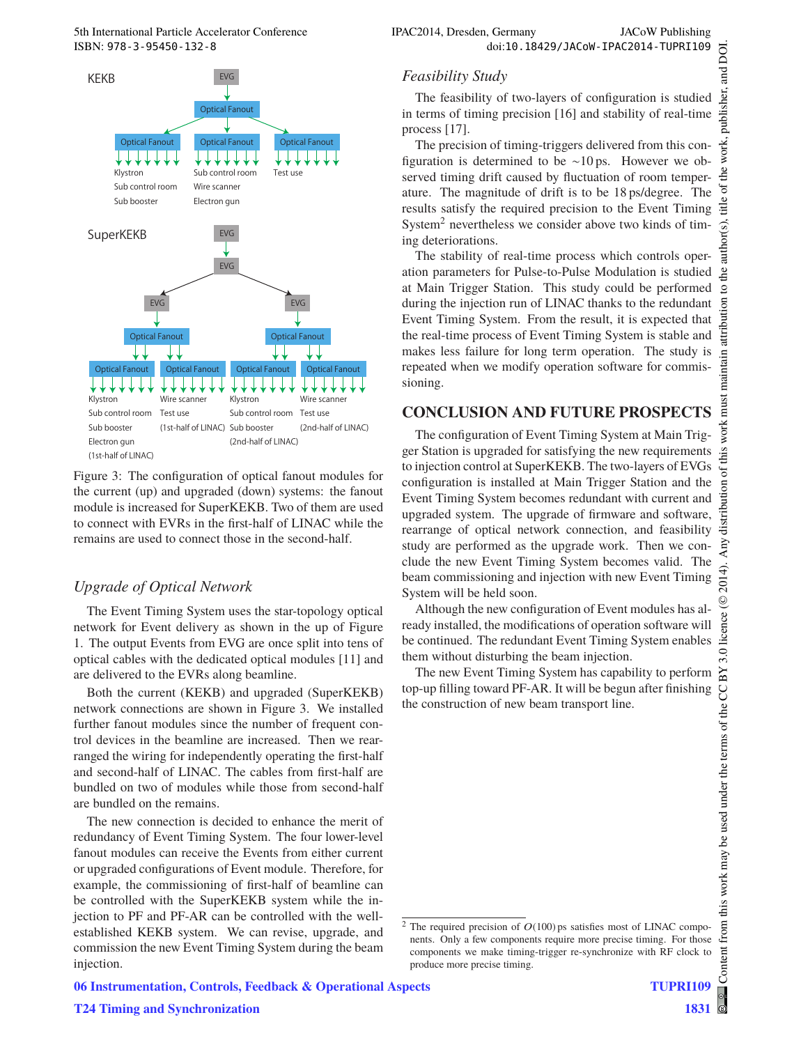

Figure 3: The configuration of optical fanout modules for the current (up) and upgraded (down) systems: the fanout module is increased for SuperKEKB. Two of them are used to connect with EVRs in the first-half of LINAC while the remains are used to connect those in the second-half.

#### *Upgrade of Optical Network*

The Event Timing System uses the star-topology optical network for Event delivery as shown in the up of Figure 1. The output Events from EVG are once split into tens of optical cables with the dedicated optical modules [11] and are delivered to the EVRs along beamline.

Both the current (KEKB) and upgraded (SuperKEKB) network connections are shown in Figure 3. We installed further fanout modules since the number of frequent control devices in the beamline are increased. Then we rearranged the wiring for independently operating the first-half and second-half of LINAC. The cables from first-half are bundled on two of modules while those from second-half are bundled on the remains.

The new connection is decided to enhance the merit of redundancy of Event Timing System. The four lower-level fanout modules can receive the Events from either current or upgraded configurations of Event module. Therefore, for example, the commissioning of first-half of beamline can be controlled with the SuperKEKB system while the injection to PF and PF-AR can be controlled with the wellestablished KEKB system. We can revise, upgrade, and commission the new Event Timing System during the beam injection.

#### *Feasibility Study*

The feasibility of two-layers of configuration is studied in terms of timing precision [16] and stability of real-time process [17].

The precision of timing-triggers delivered from this configuration is determined to be ∼10 ps. However we observed timing drift caused by fluctuation of room temperature. The magnitude of drift is to be 18 ps/degree. The results satisfy the required precision to the Event Timing System<sup>2</sup> nevertheless we consider above two kinds of timing deteriorations.

The stability of real-time process which controls operation parameters for Pulse-to-Pulse Modulation is studied at Main Trigger Station. This study could be performed during the injection run of LINAC thanks to the redundant Event Timing System. From the result, it is expected that the real-time process of Event Timing System is stable and makes less failure for long term operation. The study is repeated when we modify operation software for commissioning.

The configuration of Event Timing System at Main Trigger Station is upgraded for satisfying the new requirements to injection control at SuperKEKB. The two-layers of EVGs configuration is installed at Main Trigger Station and the Event Timing System becomes redundant with current and upgraded system. The upgrade of firmware and software, rearrange of optical network connection, and feasibility study are performed as the upgrade work. Then we conclude the new Event Timing System becomes valid. The beam commissioning and injection with new Event Timing System will be held soon.

Although the new configuration of Event modules has already installed, the modifications of operation software will be continued. The redundant Event Timing System enables them without disturbing the beam injection.

The new Event Timing System has capability to perform top-up filling toward PF-AR. It will be begun after finishing the construction of new beam transport line.

 $2$  The required precision of  $O(100)$  ps satisfies most of LINAC components. Only a few components require more precise timing. For those components we make timing-trigger re-synchronize with RF clock to produce more precise timing.